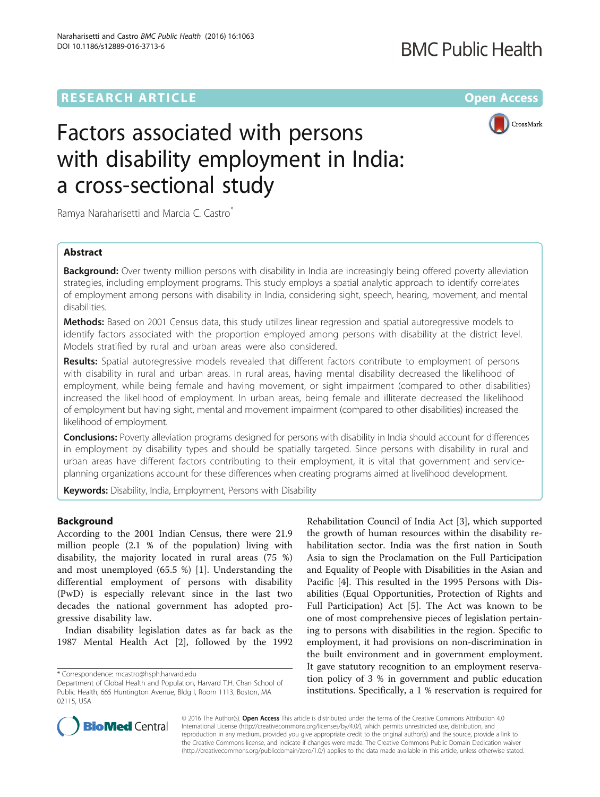## **RESEARCH ARTICLE External Structure Community Community Community Community Community Community Community Community**

CrossMark

# Factors associated with persons with disability employment in India: a cross-sectional study

Ramya Naraharisetti and Marcia C. Castro\*

## Abstract

**Background:** Over twenty million persons with disability in India are increasingly being offered poverty alleviation strategies, including employment programs. This study employs a spatial analytic approach to identify correlates of employment among persons with disability in India, considering sight, speech, hearing, movement, and mental disabilities.

Methods: Based on 2001 Census data, this study utilizes linear regression and spatial autoregressive models to identify factors associated with the proportion employed among persons with disability at the district level. Models stratified by rural and urban areas were also considered.

Results: Spatial autoregressive models revealed that different factors contribute to employment of persons with disability in rural and urban areas. In rural areas, having mental disability decreased the likelihood of employment, while being female and having movement, or sight impairment (compared to other disabilities) increased the likelihood of employment. In urban areas, being female and illiterate decreased the likelihood of employment but having sight, mental and movement impairment (compared to other disabilities) increased the likelihood of employment.

**Conclusions:** Poverty alleviation programs designed for persons with disability in India should account for differences in employment by disability types and should be spatially targeted. Since persons with disability in rural and urban areas have different factors contributing to their employment, it is vital that government and serviceplanning organizations account for these differences when creating programs aimed at livelihood development.

Keywords: Disability, India, Employment, Persons with Disability

## Background

According to the 2001 Indian Census, there were 21.9 million people (2.1 % of the population) living with disability, the majority located in rural areas (75 %) and most unemployed (65.5 %) [\[1](#page-6-0)]. Understanding the differential employment of persons with disability (PwD) is especially relevant since in the last two decades the national government has adopted progressive disability law.

Indian disability legislation dates as far back as the 1987 Mental Health Act [[2\]](#page-6-0), followed by the 1992

Rehabilitation Council of India Act [\[3](#page-6-0)], which supported the growth of human resources within the disability rehabilitation sector. India was the first nation in South Asia to sign the Proclamation on the Full Participation and Equality of People with Disabilities in the Asian and Pacific [[4\]](#page-6-0). This resulted in the 1995 Persons with Disabilities (Equal Opportunities, Protection of Rights and Full Participation) Act [[5\]](#page-6-0). The Act was known to be one of most comprehensive pieces of legislation pertaining to persons with disabilities in the region. Specific to employment, it had provisions on non-discrimination in the built environment and in government employment. It gave statutory recognition to an employment reservation policy of 3 % in government and public education institutions. Specifically, a 1 % reservation is required for



© 2016 The Author(s). Open Access This article is distributed under the terms of the Creative Commons Attribution 4.0 International License [\(http://creativecommons.org/licenses/by/4.0/](http://creativecommons.org/licenses/by/4.0/)), which permits unrestricted use, distribution, and reproduction in any medium, provided you give appropriate credit to the original author(s) and the source, provide a link to the Creative Commons license, and indicate if changes were made. The Creative Commons Public Domain Dedication waiver [\(http://creativecommons.org/publicdomain/zero/1.0/](http://creativecommons.org/publicdomain/zero/1.0/)) applies to the data made available in this article, unless otherwise stated.

<sup>\*</sup> Correspondence: [mcastro@hsph.harvard.edu](mailto:mcastro@hsph.harvard.edu)

Department of Global Health and Population, Harvard T.H. Chan School of Public Health, 665 Huntington Avenue, Bldg I, Room 1113, Boston, MA 02115, USA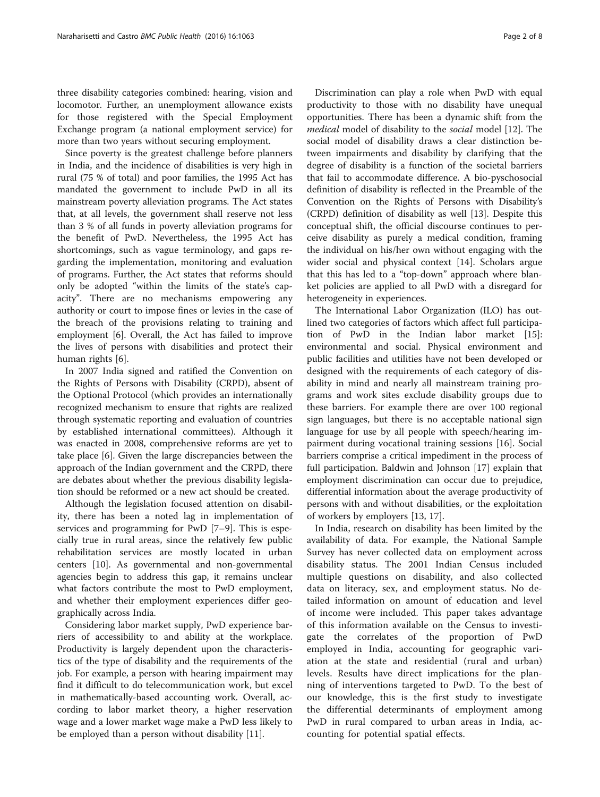three disability categories combined: hearing, vision and locomotor. Further, an unemployment allowance exists for those registered with the Special Employment Exchange program (a national employment service) for more than two years without securing employment.

Since poverty is the greatest challenge before planners in India, and the incidence of disabilities is very high in rural (75 % of total) and poor families, the 1995 Act has mandated the government to include PwD in all its mainstream poverty alleviation programs. The Act states that, at all levels, the government shall reserve not less than 3 % of all funds in poverty alleviation programs for the benefit of PwD. Nevertheless, the 1995 Act has shortcomings, such as vague terminology, and gaps regarding the implementation, monitoring and evaluation of programs. Further, the Act states that reforms should only be adopted "within the limits of the state's capacity". There are no mechanisms empowering any authority or court to impose fines or levies in the case of the breach of the provisions relating to training and employment [[6\]](#page-6-0). Overall, the Act has failed to improve the lives of persons with disabilities and protect their human rights [[6\]](#page-6-0).

In 2007 India signed and ratified the Convention on the Rights of Persons with Disability (CRPD), absent of the Optional Protocol (which provides an internationally recognized mechanism to ensure that rights are realized through systematic reporting and evaluation of countries by established international committees). Although it was enacted in 2008, comprehensive reforms are yet to take place [[6\]](#page-6-0). Given the large discrepancies between the approach of the Indian government and the CRPD, there are debates about whether the previous disability legislation should be reformed or a new act should be created.

Although the legislation focused attention on disability, there has been a noted lag in implementation of services and programming for PwD [\[7](#page-6-0)–[9](#page-6-0)]. This is especially true in rural areas, since the relatively few public rehabilitation services are mostly located in urban centers [[10\]](#page-6-0). As governmental and non-governmental agencies begin to address this gap, it remains unclear what factors contribute the most to PwD employment, and whether their employment experiences differ geographically across India.

Considering labor market supply, PwD experience barriers of accessibility to and ability at the workplace. Productivity is largely dependent upon the characteristics of the type of disability and the requirements of the job. For example, a person with hearing impairment may find it difficult to do telecommunication work, but excel in mathematically-based accounting work. Overall, according to labor market theory, a higher reservation wage and a lower market wage make a PwD less likely to be employed than a person without disability [[11](#page-6-0)].

Discrimination can play a role when PwD with equal productivity to those with no disability have unequal opportunities. There has been a dynamic shift from the medical model of disability to the social model [\[12\]](#page-6-0). The social model of disability draws a clear distinction between impairments and disability by clarifying that the degree of disability is a function of the societal barriers that fail to accommodate difference. A bio-pyschosocial definition of disability is reflected in the Preamble of the Convention on the Rights of Persons with Disability's (CRPD) definition of disability as well [\[13](#page-7-0)]. Despite this conceptual shift, the official discourse continues to perceive disability as purely a medical condition, framing the individual on his/her own without engaging with the wider social and physical context [[14](#page-7-0)]. Scholars argue that this has led to a "top-down" approach where blanket policies are applied to all PwD with a disregard for heterogeneity in experiences.

The International Labor Organization (ILO) has outlined two categories of factors which affect full participation of PwD in the Indian labor market [\[15](#page-7-0)]: environmental and social. Physical environment and public facilities and utilities have not been developed or designed with the requirements of each category of disability in mind and nearly all mainstream training programs and work sites exclude disability groups due to these barriers. For example there are over 100 regional sign languages, but there is no acceptable national sign language for use by all people with speech/hearing impairment during vocational training sessions [[16\]](#page-7-0). Social barriers comprise a critical impediment in the process of full participation. Baldwin and Johnson [\[17](#page-7-0)] explain that employment discrimination can occur due to prejudice, differential information about the average productivity of persons with and without disabilities, or the exploitation of workers by employers [\[13](#page-7-0), [17](#page-7-0)].

In India, research on disability has been limited by the availability of data. For example, the National Sample Survey has never collected data on employment across disability status. The 2001 Indian Census included multiple questions on disability, and also collected data on literacy, sex, and employment status. No detailed information on amount of education and level of income were included. This paper takes advantage of this information available on the Census to investigate the correlates of the proportion of PwD employed in India, accounting for geographic variation at the state and residential (rural and urban) levels. Results have direct implications for the planning of interventions targeted to PwD. To the best of our knowledge, this is the first study to investigate the differential determinants of employment among PwD in rural compared to urban areas in India, accounting for potential spatial effects.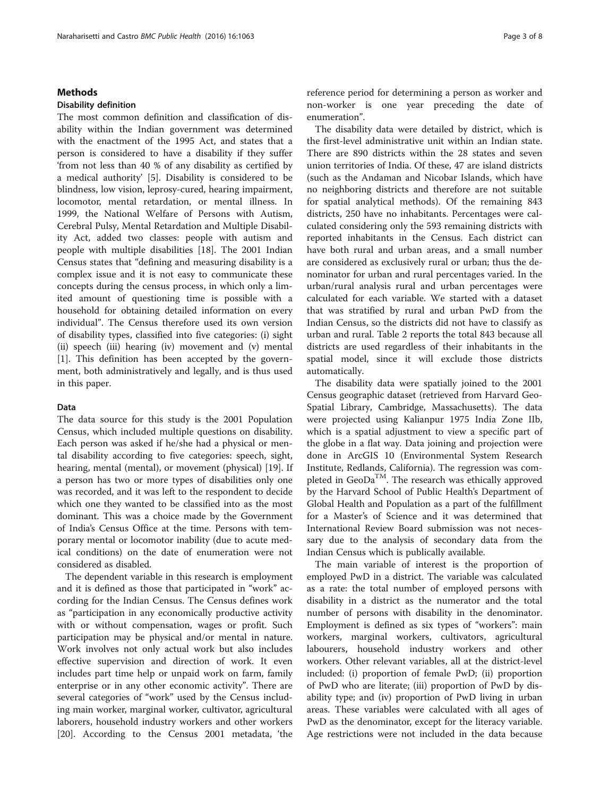#### Methods

#### Disability definition

The most common definition and classification of disability within the Indian government was determined with the enactment of the 1995 Act, and states that a person is considered to have a disability if they suffer 'from not less than 40 % of any disability as certified by a medical authority' [[5](#page-6-0)]. Disability is considered to be blindness, low vision, leprosy-cured, hearing impairment, locomotor, mental retardation, or mental illness. In 1999, the National Welfare of Persons with Autism, Cerebral Pulsy, Mental Retardation and Multiple Disability Act, added two classes: people with autism and people with multiple disabilities [[18](#page-7-0)]. The 2001 Indian Census states that "defining and measuring disability is a complex issue and it is not easy to communicate these concepts during the census process, in which only a limited amount of questioning time is possible with a household for obtaining detailed information on every individual". The Census therefore used its own version of disability types, classified into five categories: (i) sight (ii) speech (iii) hearing (iv) movement and (v) mental [[1\]](#page-6-0). This definition has been accepted by the government, both administratively and legally, and is thus used in this paper.

## Data

The data source for this study is the 2001 Population Census, which included multiple questions on disability. Each person was asked if he/she had a physical or mental disability according to five categories: speech, sight, hearing, mental (mental), or movement (physical) [\[19](#page-7-0)]. If a person has two or more types of disabilities only one was recorded, and it was left to the respondent to decide which one they wanted to be classified into as the most dominant. This was a choice made by the Government of India's Census Office at the time. Persons with temporary mental or locomotor inability (due to acute medical conditions) on the date of enumeration were not considered as disabled.

The dependent variable in this research is employment and it is defined as those that participated in "work" according for the Indian Census. The Census defines work as "participation in any economically productive activity with or without compensation, wages or profit. Such participation may be physical and/or mental in nature. Work involves not only actual work but also includes effective supervision and direction of work. It even includes part time help or unpaid work on farm, family enterprise or in any other economic activity". There are several categories of "work" used by the Census including main worker, marginal worker, cultivator, agricultural laborers, household industry workers and other workers [[20\]](#page-7-0). According to the Census 2001 metadata, 'the reference period for determining a person as worker and non-worker is one year preceding the date of enumeration".

The disability data were detailed by district, which is the first-level administrative unit within an Indian state. There are 890 districts within the 28 states and seven union territories of India. Of these, 47 are island districts (such as the Andaman and Nicobar Islands, which have no neighboring districts and therefore are not suitable for spatial analytical methods). Of the remaining 843 districts, 250 have no inhabitants. Percentages were calculated considering only the 593 remaining districts with reported inhabitants in the Census. Each district can have both rural and urban areas, and a small number are considered as exclusively rural or urban; thus the denominator for urban and rural percentages varied. In the urban/rural analysis rural and urban percentages were calculated for each variable. We started with a dataset that was stratified by rural and urban PwD from the Indian Census, so the districts did not have to classify as urban and rural. Table [2](#page-4-0) reports the total 843 because all districts are used regardless of their inhabitants in the spatial model, since it will exclude those districts automatically.

The disability data were spatially joined to the 2001 Census geographic dataset (retrieved from Harvard Geo-Spatial Library, Cambridge, Massachusetts). The data were projected using Kalianpur 1975 India Zone IIb, which is a spatial adjustment to view a specific part of the globe in a flat way. Data joining and projection were done in ArcGIS 10 (Environmental System Research Institute, Redlands, California). The regression was completed in GeoDa<sup>TM</sup>. The research was ethically approved by the Harvard School of Public Health's Department of Global Health and Population as a part of the fulfillment for a Master's of Science and it was determined that International Review Board submission was not necessary due to the analysis of secondary data from the Indian Census which is publically available.

The main variable of interest is the proportion of employed PwD in a district. The variable was calculated as a rate: the total number of employed persons with disability in a district as the numerator and the total number of persons with disability in the denominator. Employment is defined as six types of "workers": main workers, marginal workers, cultivators, agricultural labourers, household industry workers and other workers. Other relevant variables, all at the district-level included: (i) proportion of female PwD; (ii) proportion of PwD who are literate; (iii) proportion of PwD by disability type; and (iv) proportion of PwD living in urban areas. These variables were calculated with all ages of PwD as the denominator, except for the literacy variable. Age restrictions were not included in the data because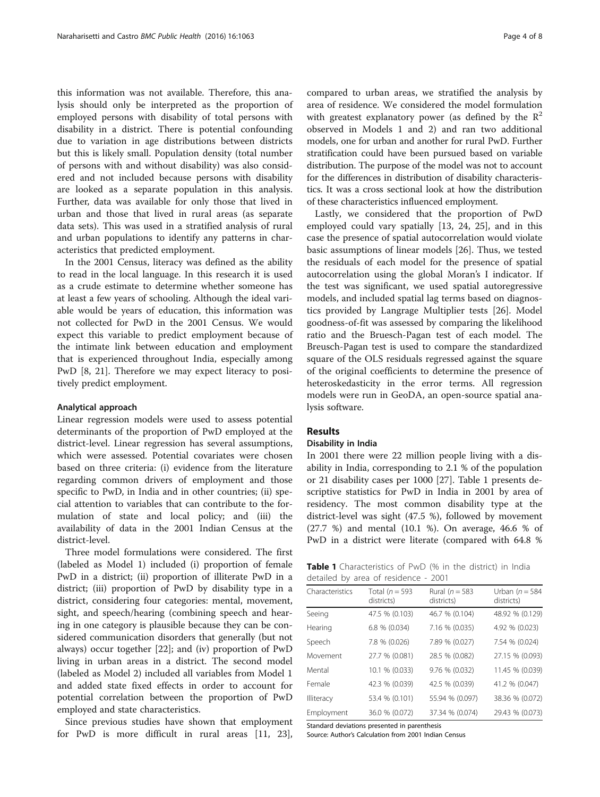this information was not available. Therefore, this analysis should only be interpreted as the proportion of employed persons with disability of total persons with disability in a district. There is potential confounding due to variation in age distributions between districts but this is likely small. Population density (total number of persons with and without disability) was also considered and not included because persons with disability are looked as a separate population in this analysis. Further, data was available for only those that lived in urban and those that lived in rural areas (as separate data sets). This was used in a stratified analysis of rural and urban populations to identify any patterns in characteristics that predicted employment.

In the 2001 Census, literacy was defined as the ability to read in the local language. In this research it is used as a crude estimate to determine whether someone has at least a few years of schooling. Although the ideal variable would be years of education, this information was not collected for PwD in the 2001 Census. We would expect this variable to predict employment because of the intimate link between education and employment that is experienced throughout India, especially among PwD [\[8](#page-6-0), [21](#page-7-0)]. Therefore we may expect literacy to positively predict employment.

#### Analytical approach

Linear regression models were used to assess potential determinants of the proportion of PwD employed at the district-level. Linear regression has several assumptions, which were assessed. Potential covariates were chosen based on three criteria: (i) evidence from the literature regarding common drivers of employment and those specific to PwD, in India and in other countries; (ii) special attention to variables that can contribute to the formulation of state and local policy; and (iii) the availability of data in the 2001 Indian Census at the district-level.

Three model formulations were considered. The first (labeled as Model 1) included (i) proportion of female PwD in a district; (ii) proportion of illiterate PwD in a district; (iii) proportion of PwD by disability type in a district, considering four categories: mental, movement, sight, and speech/hearing (combining speech and hearing in one category is plausible because they can be considered communication disorders that generally (but not always) occur together [\[22\]](#page-7-0); and (iv) proportion of PwD living in urban areas in a district. The second model (labeled as Model 2) included all variables from Model 1 and added state fixed effects in order to account for potential correlation between the proportion of PwD employed and state characteristics.

Since previous studies have shown that employment for PwD is more difficult in rural areas [\[11](#page-6-0), [23](#page-7-0)],

compared to urban areas, we stratified the analysis by area of residence. We considered the model formulation with greatest explanatory power (as defined by the  $R^2$ observed in Models 1 and 2) and ran two additional models, one for urban and another for rural PwD. Further stratification could have been pursued based on variable distribution. The purpose of the model was not to account for the differences in distribution of disability characteristics. It was a cross sectional look at how the distribution of these characteristics influenced employment.

Lastly, we considered that the proportion of PwD employed could vary spatially [[13](#page-7-0), [24, 25](#page-7-0)], and in this case the presence of spatial autocorrelation would violate basic assumptions of linear models [\[26](#page-7-0)]. Thus, we tested the residuals of each model for the presence of spatial autocorrelation using the global Moran's I indicator. If the test was significant, we used spatial autoregressive models, and included spatial lag terms based on diagnostics provided by Langrage Multiplier tests [\[26](#page-7-0)]. Model goodness-of-fit was assessed by comparing the likelihood ratio and the Bruesch-Pagan test of each model. The Breusch-Pagan test is used to compare the standardized square of the OLS residuals regressed against the square of the original coefficients to determine the presence of heteroskedasticity in the error terms. All regression models were run in GeoDA, an open-source spatial analysis software.

## Results

#### Disability in India

In 2001 there were 22 million people living with a disability in India, corresponding to 2.1 % of the population or 21 disability cases per 1000 [\[27](#page-7-0)]. Table 1 presents descriptive statistics for PwD in India in 2001 by area of residency. The most common disability type at the district-level was sight (47.5 %), followed by movement (27.7 %) and mental (10.1 %). On average, 46.6 % of PwD in a district were literate (compared with 64.8 %

| <b>Table 1</b> Characteristics of PwD (% in the district) in India |  |  |  |
|--------------------------------------------------------------------|--|--|--|
| detailed by area of residence - 2001                               |  |  |  |

| Characteristics | Total ( $n = 593$<br>districts) | Rural ( $n = 583$<br>districts) | Urban $(n = 584)$<br>districts) |
|-----------------|---------------------------------|---------------------------------|---------------------------------|
| Seeing          | 47.5 % (0.103)                  | 46.7 % (0.104)                  | 48.92 % (0.129)                 |
| Hearing         | 6.8 % (0.034)                   | 7.16 % (0.035)                  | 4.92 % (0.023)                  |
| Speech          | 7.8 % (0.026)                   | 7.89 % (0.027)                  | 7.54 % (0.024)                  |
| Movement        | 27.7 % (0.081)                  | 28.5 % (0.082)                  | 27.15 % (0.093)                 |
| Mental          | 10.1 % (0.033)                  | 9.76 % (0.032)                  | 11.45 % (0.039)                 |
| Female          | 42.3 % (0.039)                  | 42.5 % (0.039)                  | 41.2 % (0.047)                  |
| Illiteracy      | 53.4 % (0.101)                  | 55.94 % (0.097)                 | 38.36 % (0.072)                 |
| Employment      | 36.0 % (0.072)                  | 37.34 % (0.074)                 | 29.43 % (0.073)                 |

Standard deviations presented in parenthesis

Source: Author's Calculation from 2001 Indian Census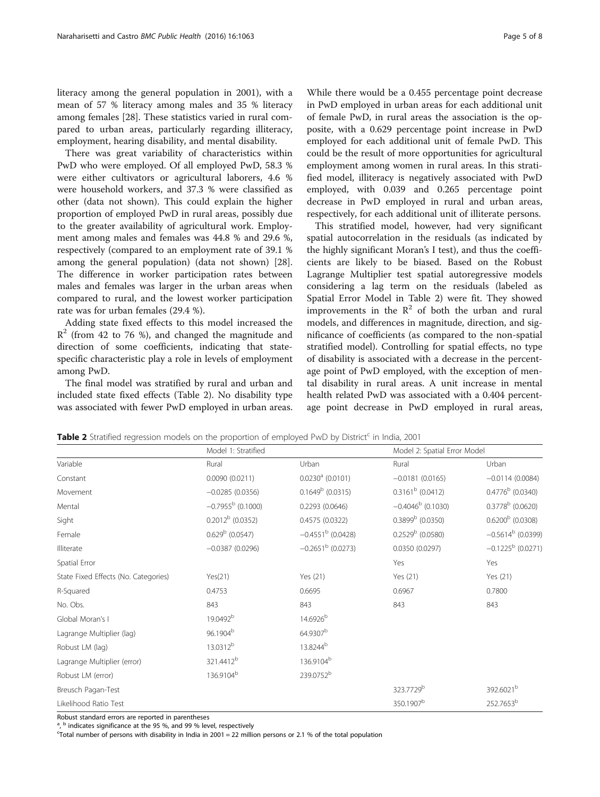<span id="page-4-0"></span>literacy among the general population in 2001), with a mean of 57 % literacy among males and 35 % literacy among females [\[28](#page-7-0)]. These statistics varied in rural compared to urban areas, particularly regarding illiteracy, employment, hearing disability, and mental disability.

There was great variability of characteristics within PwD who were employed. Of all employed PwD, 58.3 % were either cultivators or agricultural laborers, 4.6 % were household workers, and 37.3 % were classified as other (data not shown). This could explain the higher proportion of employed PwD in rural areas, possibly due to the greater availability of agricultural work. Employment among males and females was 44.8 % and 29.6 %, respectively (compared to an employment rate of 39.1 % among the general population) (data not shown) [\[28](#page-7-0)]. The difference in worker participation rates between males and females was larger in the urban areas when compared to rural, and the lowest worker participation rate was for urban females (29.4 %).

Adding state fixed effects to this model increased the  $\mathbb{R}^2$  (from 42 to 76 %), and changed the magnitude and direction of some coefficients, indicating that statespecific characteristic play a role in levels of employment among PwD.

The final model was stratified by rural and urban and included state fixed effects (Table 2). No disability type was associated with fewer PwD employed in urban areas.

While there would be a 0.455 percentage point decrease in PwD employed in urban areas for each additional unit of female PwD, in rural areas the association is the opposite, with a 0.629 percentage point increase in PwD employed for each additional unit of female PwD. This could be the result of more opportunities for agricultural employment among women in rural areas. In this stratified model, illiteracy is negatively associated with PwD employed, with 0.039 and 0.265 percentage point decrease in PwD employed in rural and urban areas,

respectively, for each additional unit of illiterate persons.

This stratified model, however, had very significant spatial autocorrelation in the residuals (as indicated by the highly significant Moran's I test), and thus the coefficients are likely to be biased. Based on the Robust Lagrange Multiplier test spatial autoregressive models considering a lag term on the residuals (labeled as Spatial Error Model in Table 2) were fit. They showed improvements in the  $\mathbb{R}^2$  of both the urban and rural models, and differences in magnitude, direction, and significance of coefficients (as compared to the non-spatial stratified model). Controlling for spatial effects, no type of disability is associated with a decrease in the percentage point of PwD employed, with the exception of mental disability in rural areas. A unit increase in mental health related PwD was associated with a 0.404 percentage point decrease in PwD employed in rural areas,

**Table 2** Stratified regression models on the proportion of employed PwD by District<sup>c</sup> in India, 2001

| Model 1: Stratified        |                                 | Model 2: Spatial Error Model |                            |  |
|----------------------------|---------------------------------|------------------------------|----------------------------|--|
| Rural                      | Urban                           | Rural                        | Urban                      |  |
| 0.0090(0.0211)             | $0.0230^a$ (0.0101)             | $-0.0181(0.0165)$            | $-0.0114(0.0084)$          |  |
| $-0.0285(0.0356)$          | $0.1649^b$ (0.0315)             | $0.3161b$ (0.0412)           | $0.4776^b$ (0.0340)        |  |
| $-0.7955^{\rm b}$ (0.1000) | 0.2293 (0.0646)                 | $-0.4046^b$ (0.1030)         | $0.3778^b$ (0.0620)        |  |
| $0.2012^b$ (0.0352)        | 0.4575 (0.0322)                 | $0.3899b$ (0.0350)           | $0.6200b$ (0.0308)         |  |
| $0.629b$ (0.0547)          | $-0.4551^{\mathrm{b}}$ (0.0428) | $0.2529b$ (0.0580)           | $-0.5614^b$ (0.0399)       |  |
| $-0.0387(0.0296)$          | $-0.2651^{\mathrm{b}}$ (0.0273) | 0.0350 (0.0297)              | $-0.1225^{\rm b}$ (0.0271) |  |
|                            |                                 | Yes                          | Yes                        |  |
| Yes(21)                    | Yes (21)                        | Yes (21)                     | Yes (21)                   |  |
| 0.4753                     | 0.6695                          | 0.6967                       | 0.7800                     |  |
| 843                        | 843                             | 843                          | 843                        |  |
| 19.0492 <sup>b</sup>       | 14.6926 <sup>b</sup>            |                              |                            |  |
| 96.1904 <sup>b</sup>       | 64.9307 <sup>b</sup>            |                              |                            |  |
| 13.0312 <sup>b</sup>       | 13.8244 <sup>b</sup>            |                              |                            |  |
| 321.4412 <sup>b</sup>      | 136.9104 <sup>b</sup>           |                              |                            |  |
| 136.9104 <sup>b</sup>      | 239.0752 <sup>b</sup>           |                              |                            |  |
|                            |                                 | 323.7729 <sup>b</sup>        | 392.6021 <sup>b</sup>      |  |
|                            |                                 | 350.1907 <sup>b</sup>        | 252.7653 <sup>b</sup>      |  |
|                            |                                 |                              |                            |  |

Robust standard errors are reported in parentheses

a .  $^{\rm b}$  indicates significance at the 95 %, and 99 % level, respectively

 $C$ Total number of persons with disability in India in 2001 = 22 million persons or 2.1 % of the total population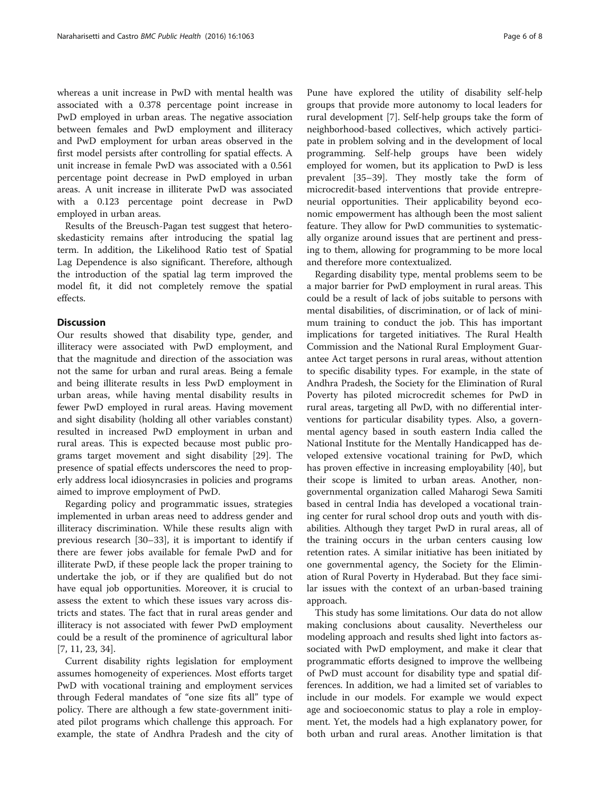whereas a unit increase in PwD with mental health was associated with a 0.378 percentage point increase in PwD employed in urban areas. The negative association between females and PwD employment and illiteracy and PwD employment for urban areas observed in the first model persists after controlling for spatial effects. A unit increase in female PwD was associated with a 0.561 percentage point decrease in PwD employed in urban areas. A unit increase in illiterate PwD was associated with a 0.123 percentage point decrease in PwD employed in urban areas.

Results of the Breusch-Pagan test suggest that heteroskedasticity remains after introducing the spatial lag term. In addition, the Likelihood Ratio test of Spatial Lag Dependence is also significant. Therefore, although the introduction of the spatial lag term improved the model fit, it did not completely remove the spatial effects.

#### Discussion

Our results showed that disability type, gender, and illiteracy were associated with PwD employment, and that the magnitude and direction of the association was not the same for urban and rural areas. Being a female and being illiterate results in less PwD employment in urban areas, while having mental disability results in fewer PwD employed in rural areas. Having movement and sight disability (holding all other variables constant) resulted in increased PwD employment in urban and rural areas. This is expected because most public programs target movement and sight disability [[29\]](#page-7-0). The presence of spatial effects underscores the need to properly address local idiosyncrasies in policies and programs aimed to improve employment of PwD.

Regarding policy and programmatic issues, strategies implemented in urban areas need to address gender and illiteracy discrimination. While these results align with previous research [\[30](#page-7-0)–[33\]](#page-7-0), it is important to identify if there are fewer jobs available for female PwD and for illiterate PwD, if these people lack the proper training to undertake the job, or if they are qualified but do not have equal job opportunities. Moreover, it is crucial to assess the extent to which these issues vary across districts and states. The fact that in rural areas gender and illiteracy is not associated with fewer PwD employment could be a result of the prominence of agricultural labor [[7, 11,](#page-6-0) [23, 34](#page-7-0)].

Current disability rights legislation for employment assumes homogeneity of experiences. Most efforts target PwD with vocational training and employment services through Federal mandates of "one size fits all" type of policy. There are although a few state-government initiated pilot programs which challenge this approach. For example, the state of Andhra Pradesh and the city of

Pune have explored the utility of disability self-help groups that provide more autonomy to local leaders for rural development [[7\]](#page-6-0). Self-help groups take the form of neighborhood-based collectives, which actively participate in problem solving and in the development of local programming. Self-help groups have been widely employed for women, but its application to PwD is less prevalent [[35](#page-7-0)–[39](#page-7-0)]. They mostly take the form of microcredit-based interventions that provide entrepreneurial opportunities. Their applicability beyond economic empowerment has although been the most salient feature. They allow for PwD communities to systematically organize around issues that are pertinent and pressing to them, allowing for programming to be more local and therefore more contextualized.

Regarding disability type, mental problems seem to be a major barrier for PwD employment in rural areas. This could be a result of lack of jobs suitable to persons with mental disabilities, of discrimination, or of lack of minimum training to conduct the job. This has important implications for targeted initiatives. The Rural Health Commission and the National Rural Employment Guarantee Act target persons in rural areas, without attention to specific disability types. For example, in the state of Andhra Pradesh, the Society for the Elimination of Rural Poverty has piloted microcredit schemes for PwD in rural areas, targeting all PwD, with no differential interventions for particular disability types. Also, a governmental agency based in south eastern India called the National Institute for the Mentally Handicapped has developed extensive vocational training for PwD, which has proven effective in increasing employability [[40](#page-7-0)], but their scope is limited to urban areas. Another, nongovernmental organization called Maharogi Sewa Samiti based in central India has developed a vocational training center for rural school drop outs and youth with disabilities. Although they target PwD in rural areas, all of the training occurs in the urban centers causing low retention rates. A similar initiative has been initiated by one governmental agency, the Society for the Elimination of Rural Poverty in Hyderabad. But they face similar issues with the context of an urban-based training approach.

This study has some limitations. Our data do not allow making conclusions about causality. Nevertheless our modeling approach and results shed light into factors associated with PwD employment, and make it clear that programmatic efforts designed to improve the wellbeing of PwD must account for disability type and spatial differences. In addition, we had a limited set of variables to include in our models. For example we would expect age and socioeconomic status to play a role in employment. Yet, the models had a high explanatory power, for both urban and rural areas. Another limitation is that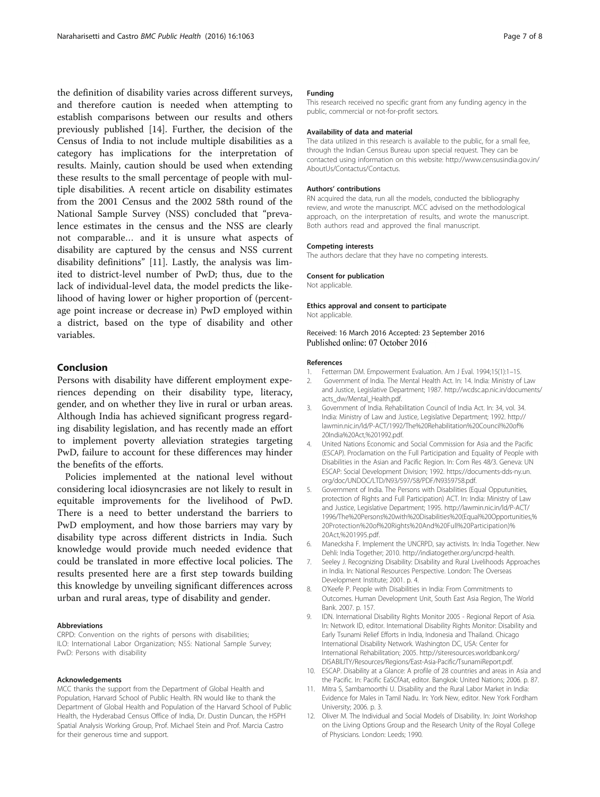<span id="page-6-0"></span>the definition of disability varies across different surveys, and therefore caution is needed when attempting to establish comparisons between our results and others previously published [[14\]](#page-7-0). Further, the decision of the Census of India to not include multiple disabilities as a category has implications for the interpretation of results. Mainly, caution should be used when extending these results to the small percentage of people with multiple disabilities. A recent article on disability estimates from the 2001 Census and the 2002 58th round of the National Sample Survey (NSS) concluded that "prevalence estimates in the census and the NSS are clearly not comparable… and it is unsure what aspects of disability are captured by the census and NSS current disability definitions" [11]. Lastly, the analysis was limited to district-level number of PwD; thus, due to the lack of individual-level data, the model predicts the likelihood of having lower or higher proportion of (percentage point increase or decrease in) PwD employed within a district, based on the type of disability and other variables.

## Conclusion

Persons with disability have different employment experiences depending on their disability type, literacy, gender, and on whether they live in rural or urban areas. Although India has achieved significant progress regarding disability legislation, and has recently made an effort to implement poverty alleviation strategies targeting PwD, failure to account for these differences may hinder the benefits of the efforts.

Policies implemented at the national level without considering local idiosyncrasies are not likely to result in equitable improvements for the livelihood of PwD. There is a need to better understand the barriers to PwD employment, and how those barriers may vary by disability type across different districts in India. Such knowledge would provide much needed evidence that could be translated in more effective local policies. The results presented here are a first step towards building this knowledge by unveiling significant differences across urban and rural areas, type of disability and gender.

#### Abbreviations

CRPD: Convention on the rights of persons with disabilities; ILO: International Labor Organization; NSS: National Sample Survey; PwD: Persons with disability

#### Acknowledgements

MCC thanks the support from the Department of Global Health and Population, Harvard School of Public Health. RN would like to thank the Department of Global Health and Population of the Harvard School of Public Health, the Hyderabad Census Office of India, Dr. Dustin Duncan, the HSPH Spatial Analysis Working Group, Prof. Michael Stein and Prof. Marcia Castro for their generous time and support.

#### Funding

This research received no specific grant from any funding agency in the public, commercial or not-for-profit sectors.

#### Availability of data and material

The data utilized in this research is available to the public, for a small fee, through the Indian Census Bureau upon special request. They can be contacted using information on this website: [http://www.censusindia.gov.in/](http://www.censusindia.gov.in/AboutUs/Contactus/Contactus) [AboutUs/Contactus/Contactus.](http://www.censusindia.gov.in/AboutUs/Contactus/Contactus)

#### Authors' contributions

RN acquired the data, run all the models, conducted the bibliography review, and wrote the manuscript. MCC advised on the methodological approach, on the interpretation of results, and wrote the manuscript. Both authors read and approved the final manuscript.

#### Competing interests

The authors declare that they have no competing interests.

#### Consent for publication

Not applicable.

## Ethics approval and consent to participate

Not applicable.

#### Received: 16 March 2016 Accepted: 23 September 2016 Published online: 07 October 2016

#### References

- Fetterman DM. Empowerment Evaluation. Am J Eval. 1994;15(1):1-15.
- 2. Government of India. The Mental Health Act. In: 14. India: Ministry of Law and Justice, Legislative Department; 1987. [http://wcdsc.ap.nic.in/documents/](http://wcdsc.ap.nic.in/documents/acts_dw/Mental_Health.pdf) [acts\\_dw/Mental\\_Health.pdf](http://wcdsc.ap.nic.in/documents/acts_dw/Mental_Health.pdf).
- 3. Government of India. Rehabilitation Council of India Act. In: 34, vol. 34. India: Ministry of Law and Justice, Legislative Department; 1992. [http://](http://lawmin.nic.in/ld/P-ACT/1992/The%20Rehabilitation%20Council%20of%20India%20Act,%201992.pdf) [lawmin.nic.in/ld/P-ACT/1992/The%20Rehabilitation%20Council%20of%](http://lawmin.nic.in/ld/P-ACT/1992/The%20Rehabilitation%20Council%20of%20India%20Act,%201992.pdf) [20India%20Act,%201992.pdf](http://lawmin.nic.in/ld/P-ACT/1992/The%20Rehabilitation%20Council%20of%20India%20Act,%201992.pdf).
- 4. United Nations Economic and Social Commission for Asia and the Pacific (ESCAP). Proclamation on the Full Participation and Equality of People with Disabilities in the Asian and Pacific Region. In: Com Res 48/3. Geneva: UN ESCAP: Social Development Division; 1992. [https://documents-dds-ny.un.](https://documents-dds-ny.un.org/doc/UNDOC/LTD/N93/597/58/PDF/N9359758.pdf) [org/doc/UNDOC/LTD/N93/597/58/PDF/N9359758.pdf](https://documents-dds-ny.un.org/doc/UNDOC/LTD/N93/597/58/PDF/N9359758.pdf).
- 5. Government of India. The Persons with Disabilities (Equal Opputunities, protection of Rights and Full Participation) ACT. In: India: Ministry of Law and Justice, Legislative Department; 1995. [http://lawmin.nic.in/ld/P-ACT/](http://lawmin.nic.in/ld/P-ACT/1996/The%20Persons%20with%20Disabilities%20(Equal%20Opportunities,%20Protection%20of%20Rights%20And%20Full%20Participation)%20Act,%201995.pdf) [1996/The%20Persons%20with%20Disabilities%20\(Equal%20Opportunities,%](http://lawmin.nic.in/ld/P-ACT/1996/The%20Persons%20with%20Disabilities%20(Equal%20Opportunities,%20Protection%20of%20Rights%20And%20Full%20Participation)%20Act,%201995.pdf) [20Protection%20of%20Rights%20And%20Full%20Participation\)%](http://lawmin.nic.in/ld/P-ACT/1996/The%20Persons%20with%20Disabilities%20(Equal%20Opportunities,%20Protection%20of%20Rights%20And%20Full%20Participation)%20Act,%201995.pdf) [20Act,%201995.pdf](http://lawmin.nic.in/ld/P-ACT/1996/The%20Persons%20with%20Disabilities%20(Equal%20Opportunities,%20Protection%20of%20Rights%20And%20Full%20Participation)%20Act,%201995.pdf).
- 6. Manecksha F. Implement the UNCRPD, say activists. In: India Together. New Dehli: India Together; 2010. [http://indiatogether.org/uncrpd-health.](http://indiatogether.org/uncrpd-health)
- 7. Seeley J. Recognizing Disability: Disability and Rural Livelihoods Approaches in India. In: National Resources Perspective. London: The Overseas Development Institute; 2001. p. 4.
- 8. O'Keefe P. People with Disabilities in India: From Commitments to Outcomes. Human Development Unit, South East Asia Region, The World Bank. 2007. p. 157.
- 9. IDN. International Disability Rights Monitor 2005 Regional Report of Asia. In: Network ID, editor. International Disability Rights Monitor: Disability and Early Tsunami Relief Efforts in India, Indonesia and Thailand. Chicago International Disability Network. Washington DC, USA: Center for International Rehabilitation; 2005. [http://siteresources.worldbank.org/](http://siteresources.worldbank.org/DISABILITY/Resources/Regions/East-Asia-Pacific/TsunamiReport.pdf) [DISABILITY/Resources/Regions/East-Asia-Pacific/TsunamiReport.pdf](http://siteresources.worldbank.org/DISABILITY/Resources/Regions/East-Asia-Pacific/TsunamiReport.pdf).
- 10. ESCAP. Disability at a Glance: A profile of 28 countries and areas in Asia and the Pacific. In: Pacific EaSCfAat, editor. Bangkok: United Nations; 2006. p. 87.
- 11. Mitra S, Sambamoorthi U. Disability and the Rural Labor Market in India: Evidence for Males in Tamil Nadu. In: York New, editor. New York Fordham University; 2006. p. 3.
- 12. Oliver M. The Individual and Social Models of Disability. In: Joint Workshop on the Living Options Group and the Research Unity of the Royal College of Physicians. London: Leeds; 1990.